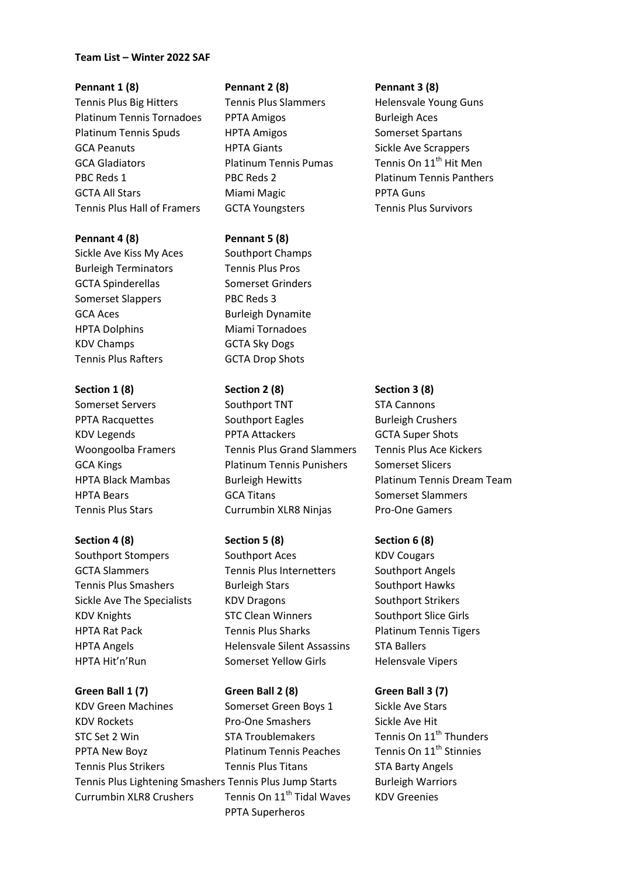### **Team List – Winter 2022 SAF**

Tennis Plus Big Hitters Tennis Plus Slammers Helensvale Young Guns Platinum Tennis Tornadoes PPTA Amigos Burleigh Aces Platinum Tennis Spuds HPTA Amigos Somerset Spartans GCA Peanuts **HPTA Giants** Sickle Ave Scrappers GCA Gladiators **Platinum Tennis Pumas** Tennis On 11<sup>th</sup> Hit Men PBC Reds 1 PBC Reds 2 Platinum Tennis Panthers GCTA All Stars **Miami Magic** PPTA Guns Tennis Plus Hall of Framers GCTA Youngsters Tennis Plus Survivors

Sickle Ave Kiss My Aces Southport Champs Burleigh Terminators Tennis Plus Pros GCTA Spinderellas Somerset Grinders Somerset Slappers PBC Reds 3 GCA Aces Burleigh Dynamite HPTA Dolphins Miami Tornadoes KDV Champs GCTA Sky Dogs Tennis Plus Rafters **GCTA Drop Shots** 

Tennis Plus Stars Currumbin XLR8 Ninjas Pro-One Gamers

**Green Ball 1 (7) Green Ball 2 (8) Green Ball 3 (7)** KDV Green Machines Somerset Green Boys 1 Sickle Ave Stars KDV Rockets **Pro-One Smashers** Sickle Ave Hit STC Set 2 Win STA Troublemakers Tennis On 11<sup>th</sup> Thunders PPTA New Boyz **Platinum Tennis Peaches** Tennis On 11<sup>th</sup> Stinnies Tennis Plus Strikers Tennis Plus Titans STA Barty Angels Tennis Plus Lightening Smashers Tennis Plus Jump Starts Burleigh Warriors Currumbin XLR8 Crushers Tennis On  $11<sup>th</sup>$  Tidal Waves KDV Greenies

### **Pennant 1 (8) Pennant 2 (8) Pennant 3 (8)**

### **Pennant 4 (8) Pennant 5 (8)**

### **Section 1 (8) Section 2 (8) Section 3 (8)**

Somerset Servers Southport TNT STA Cannons PPTA Racquettes Southport Eagles Burleigh Crushers KDV Legends **PPTA Attackers** GCTA Super Shots Woongoolba Framers Tennis Plus Grand Slammers Tennis Plus Ace Kickers GCA Kings **Platinum Tennis Punishers** Somerset Slicers HPTA Bears **Superset Slammers** GCA Titans Somerset Slammers

## **Section 4 (8) Section 5 (8) Section 6 (8)**

Southport Stompers Southport Aces KDV Cougars GCTA Slammers Tennis Plus Internetters Southport Angels Tennis Plus Smashers **Burleigh Stars** Southport Hawks Sickle Ave The Specialists KDV Dragons Southport Strikers KDV Knights STC Clean Winners Southport Slice Girls HPTA Rat Pack Tennis Plus Sharks Platinum Tennis Tigers HPTA Angels Helensvale Silent Assassins STA Ballers HPTA Hit'n'Run Somerset Yellow Girls Helensvale Vipers

PPTA Superheros

HPTA Black Mambas Burleigh Hewitts Platinum Tennis Dream Team